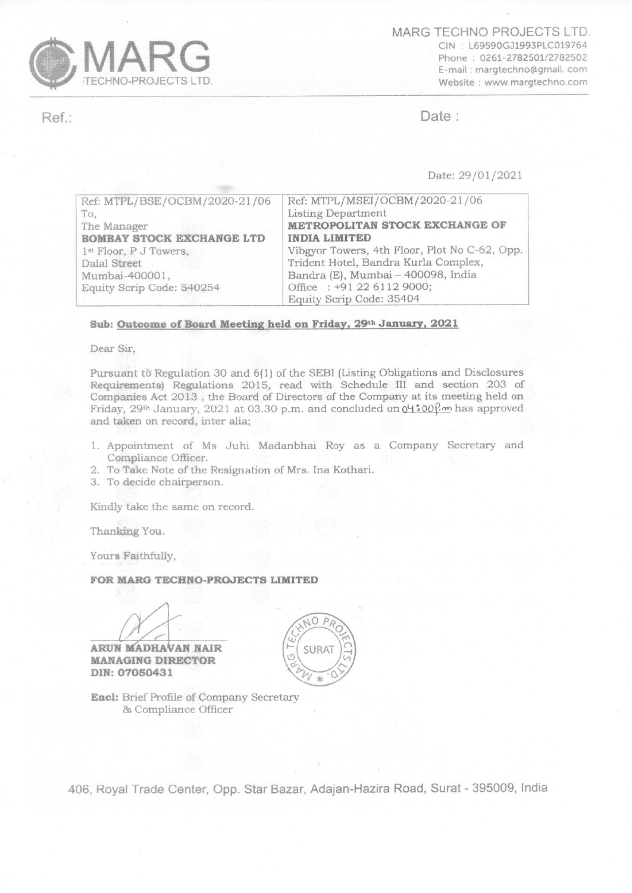

MARG TECHNO PROJECTS LTD. CIN L69590GJ1993PLC019764 Phone: 0261-2782501/2782502 E-mail : margtechno@gmail. com Website : www.margtechno.com

Ref.: Date : Date : Date : Date : Date : Date : Date : Date : Date :  $\Box$ 

Date: 29/01/2021

| Ref: MTPL/BSE/OCBM/2020-21/06      | Ref: MTPL/MSEI/OCBM/2020-21/06                |
|------------------------------------|-----------------------------------------------|
| To,                                | Listing Department                            |
| The Manager                        | METROPOLITAN STOCK EXCHANGE OF                |
| <b>BOMBAY STOCK EXCHANGE LTD</b>   | <b>INDIA LIMITED</b>                          |
| 1 <sup>st</sup> Floor, P J Towers, | Vibgyor Towers, 4th Floor, Plot No C-62, Opp. |
| Dalal Street                       | Trident Hotel, Bandra Kurla Complex,          |
| Mumbai-400001,                     | Bandra (E), Mumbai - 400098, India            |
| Equity Scrip Code: 540254          | Office: +91 22 6112 9000;                     |
|                                    | Equity Scrip Code: 35404                      |

## Sub: Outcome of Board Meeting held on Friday, 29th January, 2021

Dear Sir,

Pursuant to Regulation 30 and 6(1) of the SEBI (Listing Obligations and Disclosures Requirements) Regulations 2015, read with Schedule II] and section 203 of Companies Act 2013, the Board of Directors of the Company at its meeting held on Friday, 29<sup>th</sup> January, 2021 at 03.30 p.m. and concluded on  $0\frac{4}{100}$ <sup>2</sup> m has approved and taken on record, inter alia;

- 1. Appointment of Ms Juhi Madanbhai Roy as a Company Secretary and Compliance Officer.
- 2. To Take Note of the Resignation of Mrs. Ina Kothari.<br>3. To decide chairperson.
- 

Kindly take the same on record.

Thanking You.

Yours Faithfully,

## FOR MARG TECHNO-PROJECTS LIMITED

ARUN MADHAVAN NAIR MANAGING DIRECTOR DIN: 07050431

Encl: Brief Profile of Company Secretary Compliance Officer



406, Royal Trade Center, Opp. Star Bazar, Adajan-Hazira Road, Surat - 395009, India